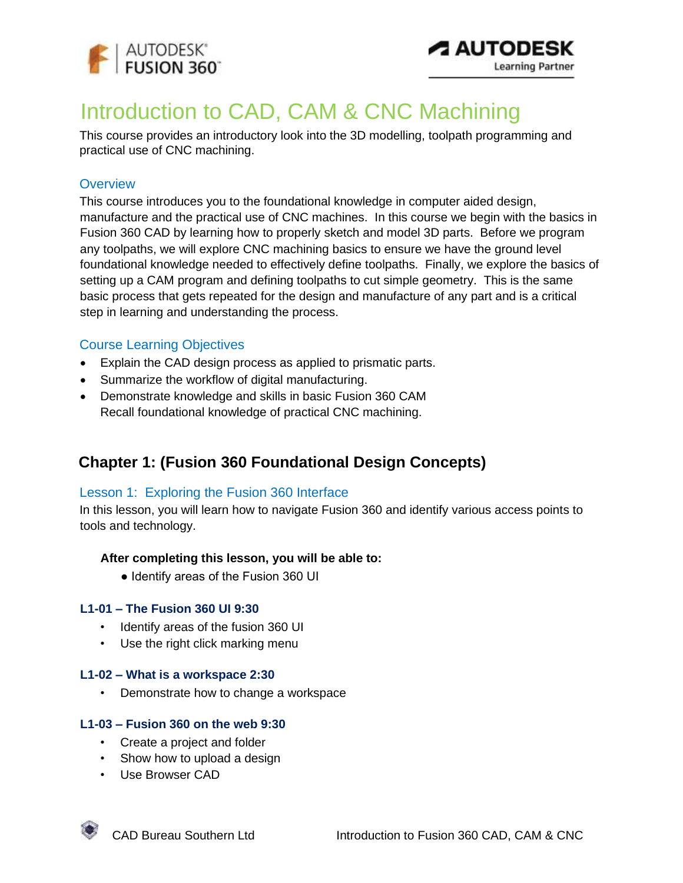



# Introduction to CAD, CAM & CNC Machining

This course provides an introductory look into the 3D modelling, toolpath programming and practical use of CNC machining.

### **Overview**

This course introduces you to the foundational knowledge in computer aided design, manufacture and the practical use of CNC machines. In this course we begin with the basics in Fusion 360 CAD by learning how to properly sketch and model 3D parts. Before we program any toolpaths, we will explore CNC machining basics to ensure we have the ground level foundational knowledge needed to effectively define toolpaths. Finally, we explore the basics of setting up a CAM program and defining toolpaths to cut simple geometry. This is the same basic process that gets repeated for the design and manufacture of any part and is a critical step in learning and understanding the process.

### Course Learning Objectives

- Explain the CAD design process as applied to prismatic parts.
- Summarize the workflow of digital manufacturing.
- Demonstrate knowledge and skills in basic Fusion 360 CAM Recall foundational knowledge of practical CNC machining.

## **Chapter 1: (Fusion 360 Foundational Design Concepts)**

### Lesson 1: Exploring the Fusion 360 Interface

In this lesson, you will learn how to navigate Fusion 360 and identify various access points to tools and technology.

### **After completing this lesson, you will be able to:**

● Identify areas of the Fusion 360 UI

### **L1-01 – The Fusion 360 UI 9:30**

- Identify areas of the fusion 360 UI
- Use the right click marking menu

### **L1-02 – What is a workspace 2:30**

• Demonstrate how to change a workspace

### **L1-03 – Fusion 360 on the web 9:30**

- Create a project and folder
- Show how to upload a design
- Use Browser CAD

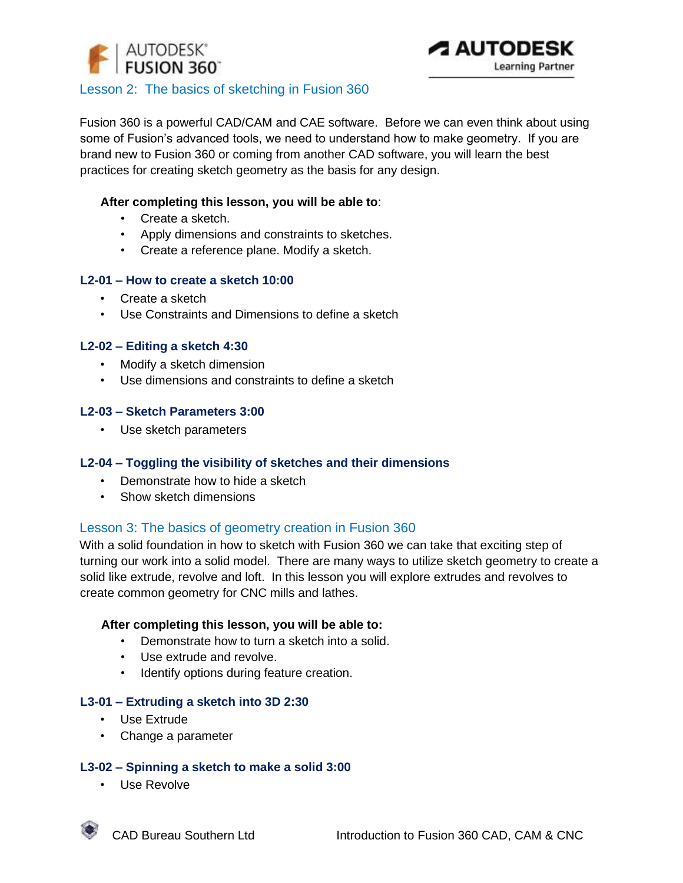



### Lesson 2: The basics of sketching in Fusion 360

Fusion 360 is a powerful CAD/CAM and CAE software. Before we can even think about using some of Fusion's advanced tools, we need to understand how to make geometry. If you are brand new to Fusion 360 or coming from another CAD software, you will learn the best practices for creating sketch geometry as the basis for any design.

### **After completing this lesson, you will be able to**:

- Create a sketch.
- Apply dimensions and constraints to sketches.
- Create a reference plane. Modify a sketch.

### **L2-01 – How to create a sketch 10:00**

- Create a sketch
- Use Constraints and Dimensions to define a sketch

### **L2-02 – Editing a sketch 4:30**

- Modify a sketch dimension
- Use dimensions and constraints to define a sketch

### **L2-03 – Sketch Parameters 3:00**

• Use sketch parameters

### **L2-04 – Toggling the visibility of sketches and their dimensions**

- Demonstrate how to hide a sketch
- Show sketch dimensions

### Lesson 3: The basics of geometry creation in Fusion 360

With a solid foundation in how to sketch with Fusion 360 we can take that exciting step of turning our work into a solid model. There are many ways to utilize sketch geometry to create a solid like extrude, revolve and loft. In this lesson you will explore extrudes and revolves to create common geometry for CNC mills and lathes.

#### **After completing this lesson, you will be able to:**

- Demonstrate how to turn a sketch into a solid.
- Use extrude and revolve.
- Identify options during feature creation.

#### **L3-01 – Extruding a sketch into 3D 2:30**

- Use Extrude
- Change a parameter

### **L3-02 – Spinning a sketch to make a solid 3:00**

• Use Revolve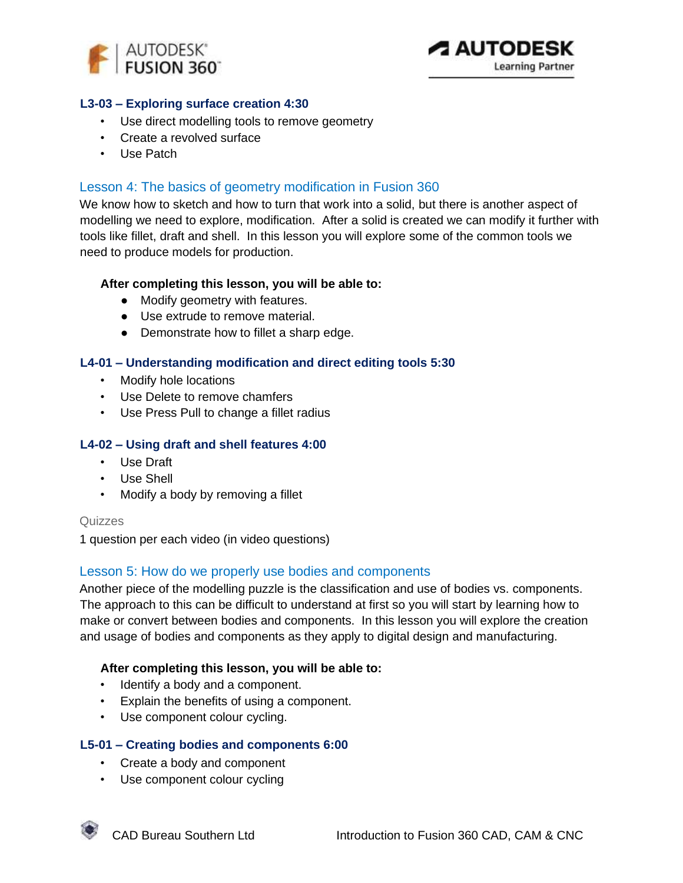



### **L3-03 – Exploring surface creation 4:30**

- Use direct modelling tools to remove geometry
- Create a revolved surface
- Use Patch

### Lesson 4: The basics of geometry modification in Fusion 360

We know how to sketch and how to turn that work into a solid, but there is another aspect of modelling we need to explore, modification. After a solid is created we can modify it further with tools like fillet, draft and shell. In this lesson you will explore some of the common tools we need to produce models for production.

#### **After completing this lesson, you will be able to:**

- Modify geometry with features.
- Use extrude to remove material.
- Demonstrate how to fillet a sharp edge.

### **L4-01 – Understanding modification and direct editing tools 5:30**

- Modify hole locations
- Use Delete to remove chamfers
- Use Press Pull to change a fillet radius

### **L4-02 – Using draft and shell features 4:00**

- Use Draft
- Use Shell
- Modify a body by removing a fillet

#### Quizzes

1 question per each video (in video questions)

### Lesson 5: How do we properly use bodies and components

Another piece of the modelling puzzle is the classification and use of bodies vs. components. The approach to this can be difficult to understand at first so you will start by learning how to make or convert between bodies and components. In this lesson you will explore the creation and usage of bodies and components as they apply to digital design and manufacturing.

#### **After completing this lesson, you will be able to:**

- Identify a body and a component.
- Explain the benefits of using a component.
- Use component colour cycling.

#### **L5-01 – Creating bodies and components 6:00**

- Create a body and component
- Use component colour cycling



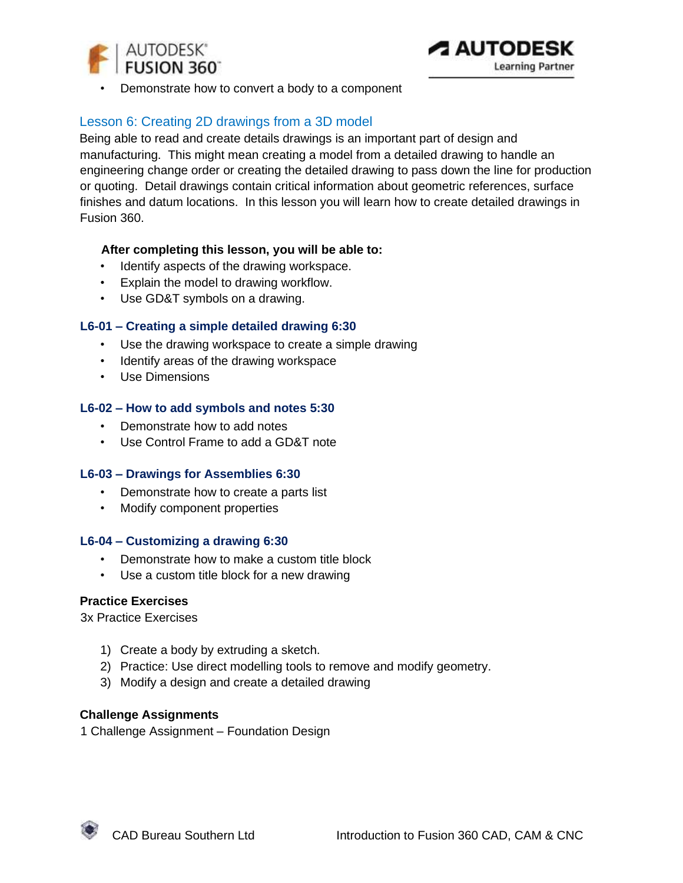

• Demonstrate how to convert a body to a component

### Lesson 6: Creating 2D drawings from a 3D model

Being able to read and create details drawings is an important part of design and manufacturing. This might mean creating a model from a detailed drawing to handle an engineering change order or creating the detailed drawing to pass down the line for production or quoting. Detail drawings contain critical information about geometric references, surface finishes and datum locations. In this lesson you will learn how to create detailed drawings in Fusion 360.

### **After completing this lesson, you will be able to:**

- Identify aspects of the drawing workspace.
- Explain the model to drawing workflow.
- Use GD&T symbols on a drawing.

### **L6-01 – Creating a simple detailed drawing 6:30**

- Use the drawing workspace to create a simple drawing
- Identify areas of the drawing workspace
- Use Dimensions

### **L6-02 – How to add symbols and notes 5:30**

- Demonstrate how to add notes
- Use Control Frame to add a GD&T note

### **L6-03 – Drawings for Assemblies 6:30**

- Demonstrate how to create a parts list
- Modify component properties

#### **L6-04 – Customizing a drawing 6:30**

- Demonstrate how to make a custom title block
- Use a custom title block for a new drawing

### **Practice Exercises**

3x Practice Exercises

- 1) Create a body by extruding a sketch.
- 2) Practice: Use direct modelling tools to remove and modify geometry.
- 3) Modify a design and create a detailed drawing

### **Challenge Assignments**

1 Challenge Assignment – Foundation Design

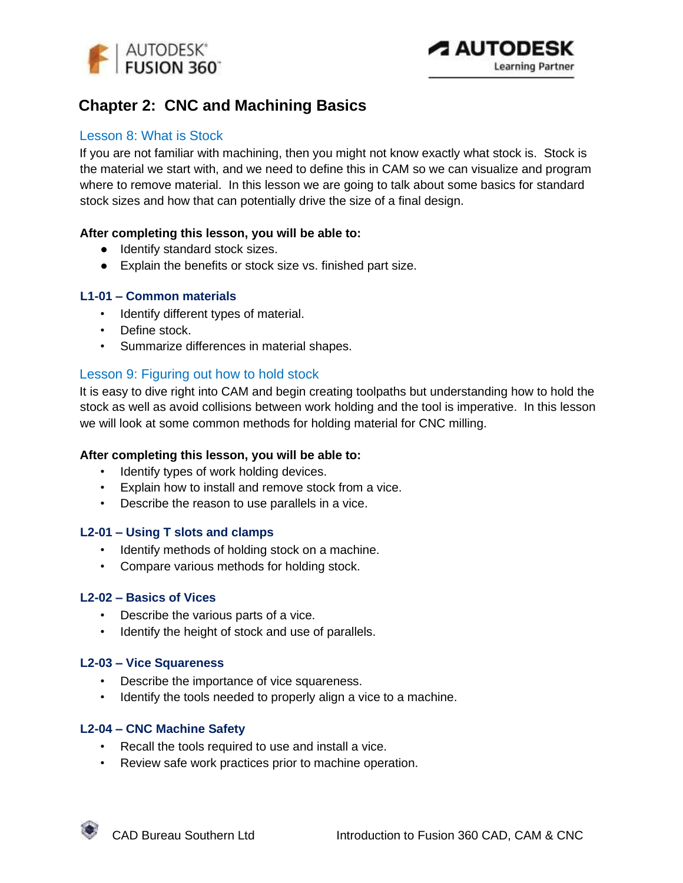

## **Chapter 2: CNC and Machining Basics**

### Lesson 8: What is Stock

If you are not familiar with machining, then you might not know exactly what stock is. Stock is the material we start with, and we need to define this in CAM so we can visualize and program where to remove material. In this lesson we are going to talk about some basics for standard stock sizes and how that can potentially drive the size of a final design.

### **After completing this lesson, you will be able to:**

- Identify standard stock sizes.
- Explain the benefits or stock size vs. finished part size.

### **L1-01 – Common materials**

- Identify different types of material.
- Define stock.
- Summarize differences in material shapes.

### Lesson 9: Figuring out how to hold stock

It is easy to dive right into CAM and begin creating toolpaths but understanding how to hold the stock as well as avoid collisions between work holding and the tool is imperative. In this lesson we will look at some common methods for holding material for CNC milling.

### **After completing this lesson, you will be able to:**

- Identify types of work holding devices.
- Explain how to install and remove stock from a vice.
- Describe the reason to use parallels in a vice.

### **L2-01 – Using T slots and clamps**

- Identify methods of holding stock on a machine.
- Compare various methods for holding stock.

#### **L2-02 – Basics of Vices**

- Describe the various parts of a vice.
- Identify the height of stock and use of parallels.

#### **L2-03 – Vice Squareness**

- Describe the importance of vice squareness.
- Identify the tools needed to properly align a vice to a machine.

### **L2-04 – CNC Machine Safety**

- Recall the tools required to use and install a vice.
- Review safe work practices prior to machine operation.

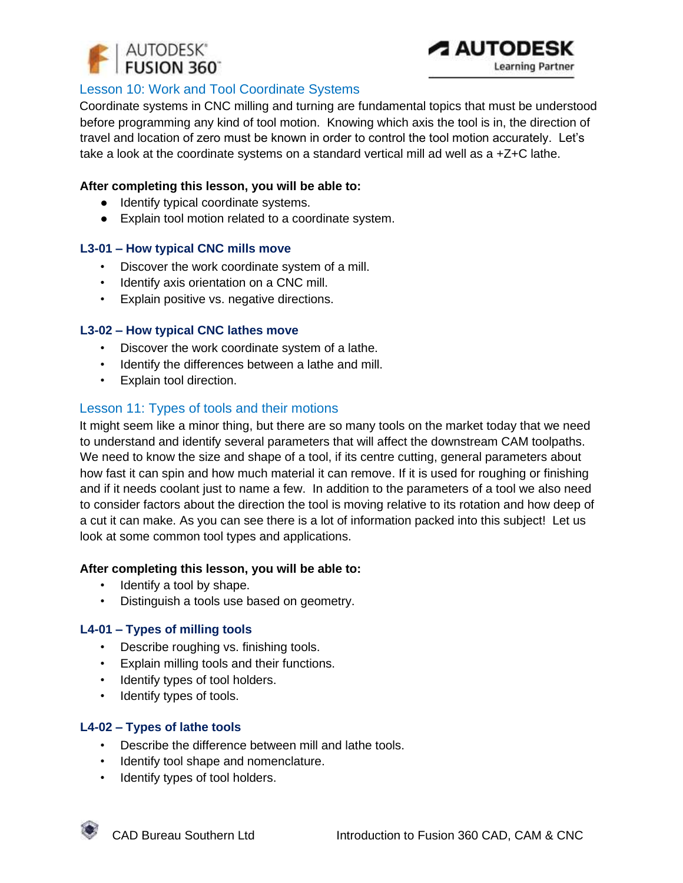

### Lesson 10: Work and Tool Coordinate Systems

Coordinate systems in CNC milling and turning are fundamental topics that must be understood before programming any kind of tool motion. Knowing which axis the tool is in, the direction of travel and location of zero must be known in order to control the tool motion accurately. Let's take a look at the coordinate systems on a standard vertical mill ad well as a +Z+C lathe.

### **After completing this lesson, you will be able to:**

- Identify typical coordinate systems.
- Explain tool motion related to a coordinate system.

### **L3-01 – How typical CNC mills move**

- Discover the work coordinate system of a mill.
- Identify axis orientation on a CNC mill.
- Explain positive vs. negative directions.

### **L3-02 – How typical CNC lathes move**

- Discover the work coordinate system of a lathe.
- Identify the differences between a lathe and mill.
- Explain tool direction.

### Lesson 11: Types of tools and their motions

It might seem like a minor thing, but there are so many tools on the market today that we need to understand and identify several parameters that will affect the downstream CAM toolpaths. We need to know the size and shape of a tool, if its centre cutting, general parameters about how fast it can spin and how much material it can remove. If it is used for roughing or finishing and if it needs coolant just to name a few. In addition to the parameters of a tool we also need to consider factors about the direction the tool is moving relative to its rotation and how deep of a cut it can make. As you can see there is a lot of information packed into this subject! Let us look at some common tool types and applications.

### **After completing this lesson, you will be able to:**

- Identify a tool by shape.
- Distinguish a tools use based on geometry.

### **L4-01 – Types of milling tools**

- Describe roughing vs. finishing tools.
- Explain milling tools and their functions.
- Identify types of tool holders.
- Identify types of tools.

### **L4-02 – Types of lathe tools**

- Describe the difference between mill and lathe tools.
- Identify tool shape and nomenclature.
- Identify types of tool holders.

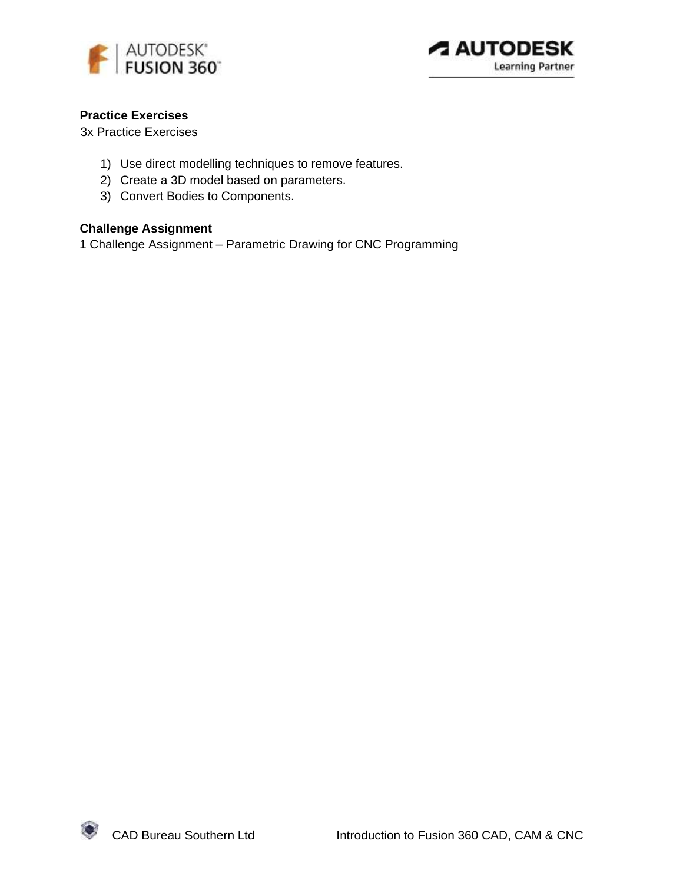



### **Practice Exercises**

3x Practice Exercises

- 1) Use direct modelling techniques to remove features.
- 2) Create a 3D model based on parameters.
- 3) Convert Bodies to Components.

### **Challenge Assignment**

1 Challenge Assignment – Parametric Drawing for CNC Programming

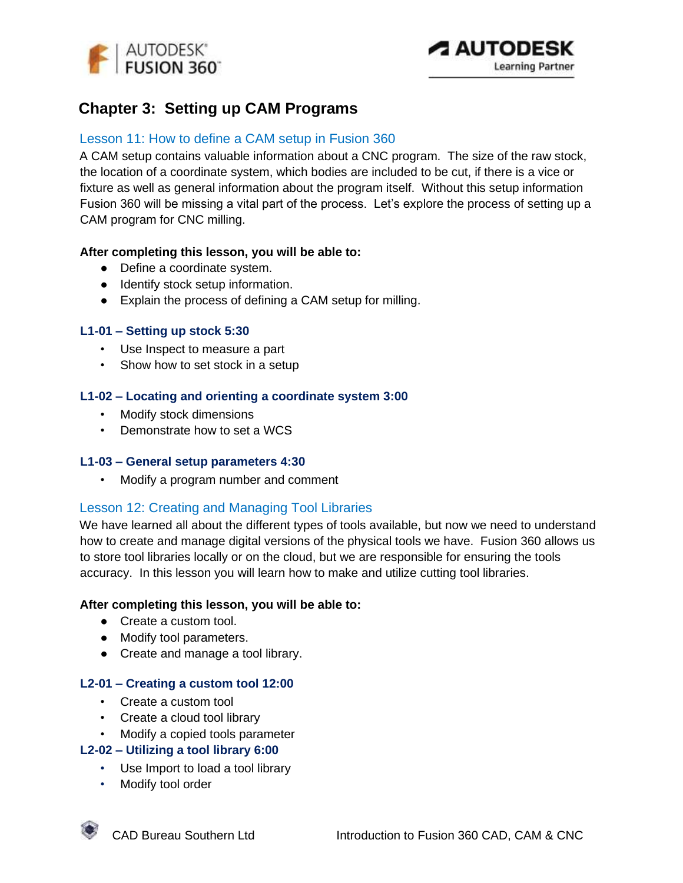

## **Chapter 3: Setting up CAM Programs**

### Lesson 11: How to define a CAM setup in Fusion 360

A CAM setup contains valuable information about a CNC program. The size of the raw stock, the location of a coordinate system, which bodies are included to be cut, if there is a vice or fixture as well as general information about the program itself. Without this setup information Fusion 360 will be missing a vital part of the process. Let's explore the process of setting up a CAM program for CNC milling.

### **After completing this lesson, you will be able to:**

- Define a coordinate system.
- Identify stock setup information.
- Explain the process of defining a CAM setup for milling.

### **L1-01 – Setting up stock 5:30**

- Use Inspect to measure a part
- Show how to set stock in a setup

### **L1-02 – Locating and orienting a coordinate system 3:00**

- Modify stock dimensions
- Demonstrate how to set a WCS

#### **L1-03 – General setup parameters 4:30**

• Modify a program number and comment

### Lesson 12: Creating and Managing Tool Libraries

We have learned all about the different types of tools available, but now we need to understand how to create and manage digital versions of the physical tools we have. Fusion 360 allows us to store tool libraries locally or on the cloud, but we are responsible for ensuring the tools accuracy. In this lesson you will learn how to make and utilize cutting tool libraries.

#### **After completing this lesson, you will be able to:**

- Create a custom tool.
- Modify tool parameters.
- Create and manage a tool library.

#### **L2-01 – Creating a custom tool 12:00**

- Create a custom tool
- Create a cloud tool library
- Modify a copied tools parameter

### **L2-02 – Utilizing a tool library 6:00**

- Use Import to load a tool library
- Modify tool order

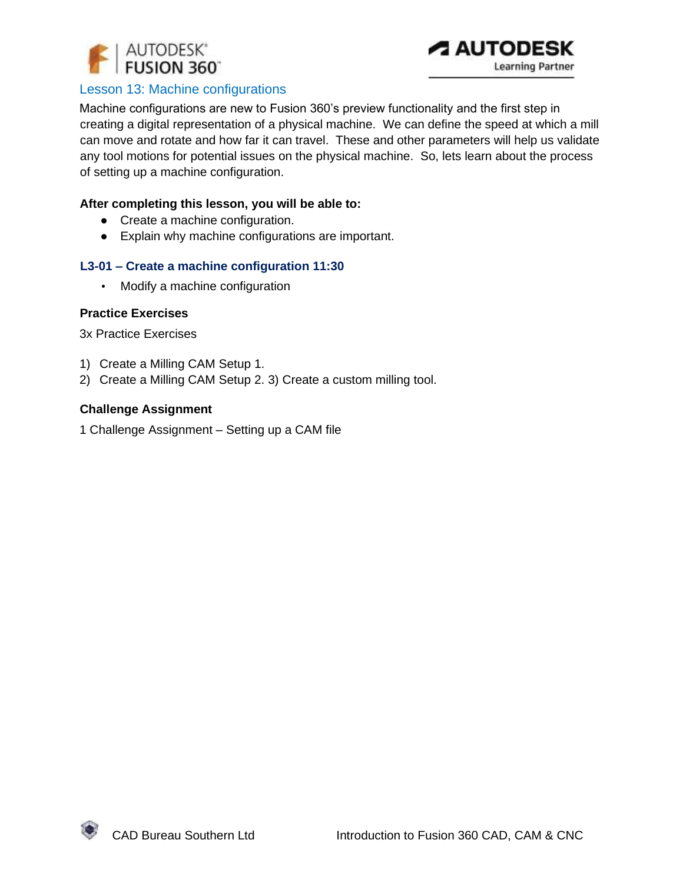



### Lesson 13: Machine configurations

Machine configurations are new to Fusion 360's preview functionality and the first step in creating a digital representation of a physical machine. We can define the speed at which a mill can move and rotate and how far it can travel. These and other parameters will help us validate any tool motions for potential issues on the physical machine. So, lets learn about the process of setting up a machine configuration.

#### **After completing this lesson, you will be able to:**

- Create a machine configuration.
- Explain why machine configurations are important.

### **L3-01 – Create a machine configuration 11:30**

• Modify a machine configuration

### **Practice Exercises**

3x Practice Exercises

- 1) Create a Milling CAM Setup 1.
- 2) Create a Milling CAM Setup 2. 3) Create a custom milling tool.

#### **Challenge Assignment**

1 Challenge Assignment – Setting up a CAM file

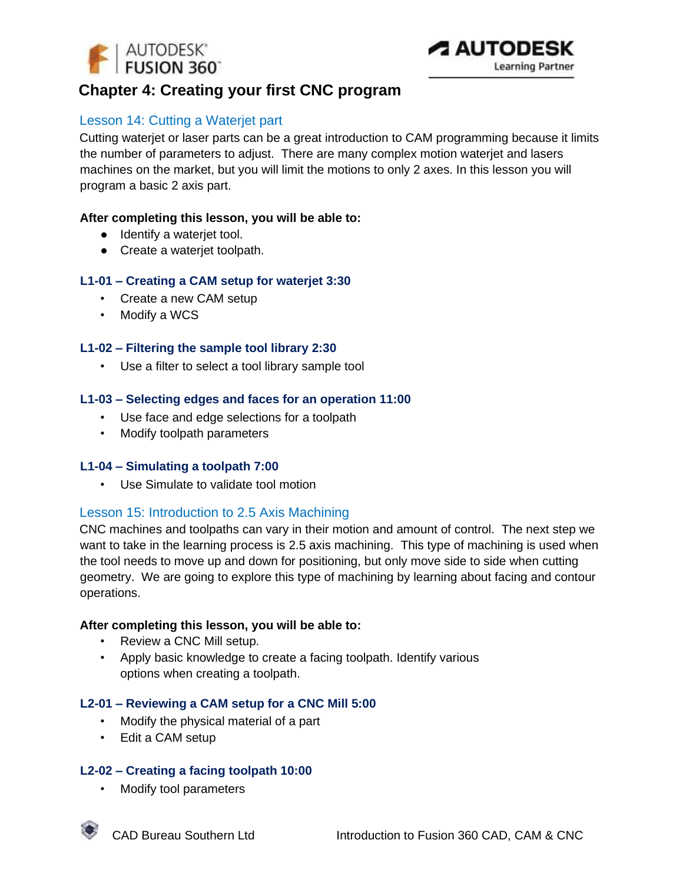



## **Chapter 4: Creating your first CNC program**

### Lesson 14: Cutting a Waterjet part

Cutting waterjet or laser parts can be a great introduction to CAM programming because it limits the number of parameters to adjust. There are many complex motion waterjet and lasers machines on the market, but you will limit the motions to only 2 axes. In this lesson you will program a basic 2 axis part.

### **After completing this lesson, you will be able to:**

- Identify a wateriet tool.
- Create a waterjet toolpath.

### **L1-01 – Creating a CAM setup for waterjet 3:30**

- Create a new CAM setup
- Modify a WCS

### **L1-02 – Filtering the sample tool library 2:30**

• Use a filter to select a tool library sample tool

### **L1-03 – Selecting edges and faces for an operation 11:00**

- Use face and edge selections for a toolpath
- Modify toolpath parameters

### **L1-04 – Simulating a toolpath 7:00**

• Use Simulate to validate tool motion

### Lesson 15: Introduction to 2.5 Axis Machining

CNC machines and toolpaths can vary in their motion and amount of control. The next step we want to take in the learning process is 2.5 axis machining. This type of machining is used when the tool needs to move up and down for positioning, but only move side to side when cutting geometry. We are going to explore this type of machining by learning about facing and contour operations.

#### **After completing this lesson, you will be able to:**

- Review a CNC Mill setup.
- Apply basic knowledge to create a facing toolpath. Identify various options when creating a toolpath.

### **L2-01 – Reviewing a CAM setup for a CNC Mill 5:00**

- Modify the physical material of a part
- Edit a CAM setup

### **L2-02 – Creating a facing toolpath 10:00**

• Modify tool parameters

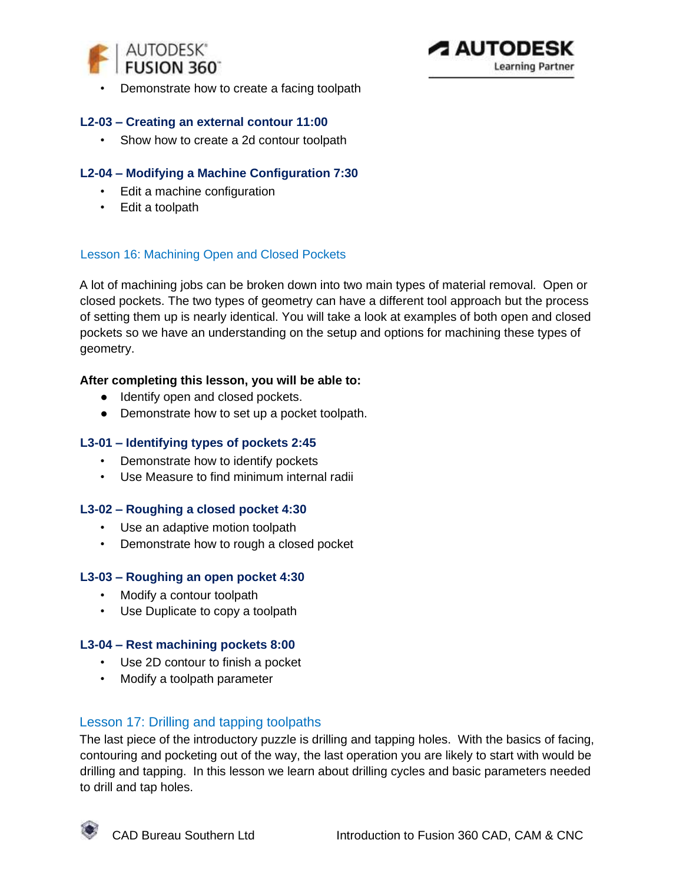



• Demonstrate how to create a facing toolpath

### **L2-03 – Creating an external contour 11:00**

• Show how to create a 2d contour toolpath

### **L2-04 – Modifying a Machine Configuration 7:30**

- Edit a machine configuration
- Edit a toolpath

### Lesson 16: Machining Open and Closed Pockets

A lot of machining jobs can be broken down into two main types of material removal. Open or closed pockets. The two types of geometry can have a different tool approach but the process of setting them up is nearly identical. You will take a look at examples of both open and closed pockets so we have an understanding on the setup and options for machining these types of geometry.

### **After completing this lesson, you will be able to:**

- Identify open and closed pockets.
- Demonstrate how to set up a pocket toolpath.

#### **L3-01 – Identifying types of pockets 2:45**

- Demonstrate how to identify pockets
- Use Measure to find minimum internal radii

#### **L3-02 – Roughing a closed pocket 4:30**

- Use an adaptive motion toolpath
- Demonstrate how to rough a closed pocket

#### **L3-03 – Roughing an open pocket 4:30**

- Modify a contour toolpath
- Use Duplicate to copy a toolpath

#### **L3-04 – Rest machining pockets 8:00**

- Use 2D contour to finish a pocket
- Modify a toolpath parameter

### Lesson 17: Drilling and tapping toolpaths

The last piece of the introductory puzzle is drilling and tapping holes. With the basics of facing, contouring and pocketing out of the way, the last operation you are likely to start with would be drilling and tapping. In this lesson we learn about drilling cycles and basic parameters needed to drill and tap holes.